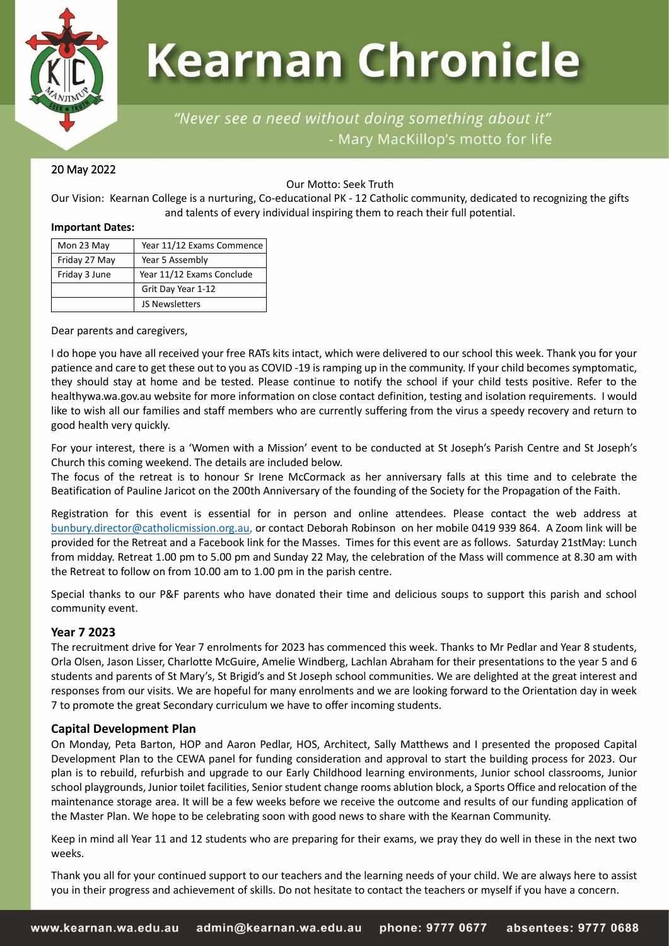

# **Kearnan Chronicle**

# "Never see a need without doing something about it" - Mary MacKillop's motto for life

# 20 May 2022

Our Motto: Seek Truth

Our Vision: Kearnan College is a nurturing, Co-educational PK - 12 Catholic community, dedicated to recognizing the gifts and talents of every individual inspiring them to reach their full potential.

#### **Important Dates:**

| Mon 23 May    | Year 11/12 Exams Commence |  |
|---------------|---------------------------|--|
| Friday 27 May | Year 5 Assembly           |  |
| Friday 3 June | Year 11/12 Exams Conclude |  |
|               | Grit Day Year 1-12        |  |
|               | JS Newsletters            |  |

Dear parents and caregivers,

I do hope you have all received your free RATs kits intact, which were delivered to our school this week. Thank you for your patience and care to get these out to you as COVID -19 is ramping up in the community. If your child becomes symptomatic, they should stay at home and be tested. Please continue to notify the school if your child tests positive. Refer to the healthywa.wa.gov.au website for more information on close contact definition, testing and isolation requirements. I would like to wish all our families and staff members who are currently suffering from the virus a speedy recovery and return to good health very quickly.

For your interest, there is a 'Women with a Mission' event to be conducted at St Joseph's Parish Centre and St Joseph's Church this coming weekend. The details are included below.

The focus of the retreat is to honour Sr Irene McCormack as her anniversary falls at this time and to celebrate the Beatification of Pauline Jaricot on the 200th Anniversary of the founding of the Society for the Propagation of the Faith.

Registration for this event is essential for in person and online attendees. Please contact the web address at [bunbury.director@catholicmission.org.au,](mailto:bunbury.director@catholicmission.org.au) or contact Deborah Robinson on her mobile 0419 939 864. A Zoom link will be provided for the Retreat and a Facebook link for the Masses. Times for this event are as follows. Saturday 21stMay: Lunch from midday. Retreat 1.00 pm to 5.00 pm and Sunday 22 May, the celebration of the Mass will commence at 8.30 am with the Retreat to follow on from 10.00 am to 1.00 pm in the parish centre.

Special thanks to our P&F parents who have donated their time and delicious soups to support this parish and school community event.

# **Year 7 2023**

The recruitment drive for Year 7 enrolments for 2023 has commenced this week. Thanks to Mr Pedlar and Year 8 students, Orla Olsen, Jason Lisser, Charlotte McGuire, Amelie Windberg, Lachlan Abraham for their presentations to the year 5 and 6 students and parents of St Mary's, St Brigid's and St Joseph school communities. We are delighted at the great interest and responses from our visits. We are hopeful for many enrolments and we are looking forward to the Orientation day in week 7 to promote the great Secondary curriculum we have to offer incoming students.

# **Capital Development Plan**

On Monday, Peta Barton, HOP and Aaron Pedlar, HOS, Architect, Sally Matthews and I presented the proposed Capital Development Plan to the CEWA panel for funding consideration and approval to start the building process for 2023. Our plan is to rebuild, refurbish and upgrade to our Early Childhood learning environments, Junior school classrooms, Junior school playgrounds, Junior toilet facilities, Senior student change rooms ablution block, a Sports Office and relocation of the maintenance storage area. It will be a few weeks before we receive the outcome and results of our funding application of the Master Plan. We hope to be celebrating soon with good news to share with the Kearnan Community.

Keep in mind all Year 11 and 12 students who are preparing for their exams, we pray they do well in these in the next two weeks.

Thank you all for your continued support to our teachers and the learning needs of your child. We are always here to assist you in their progress and achievement of skills. Do not hesitate to contact the teachers or myself if you have a concern.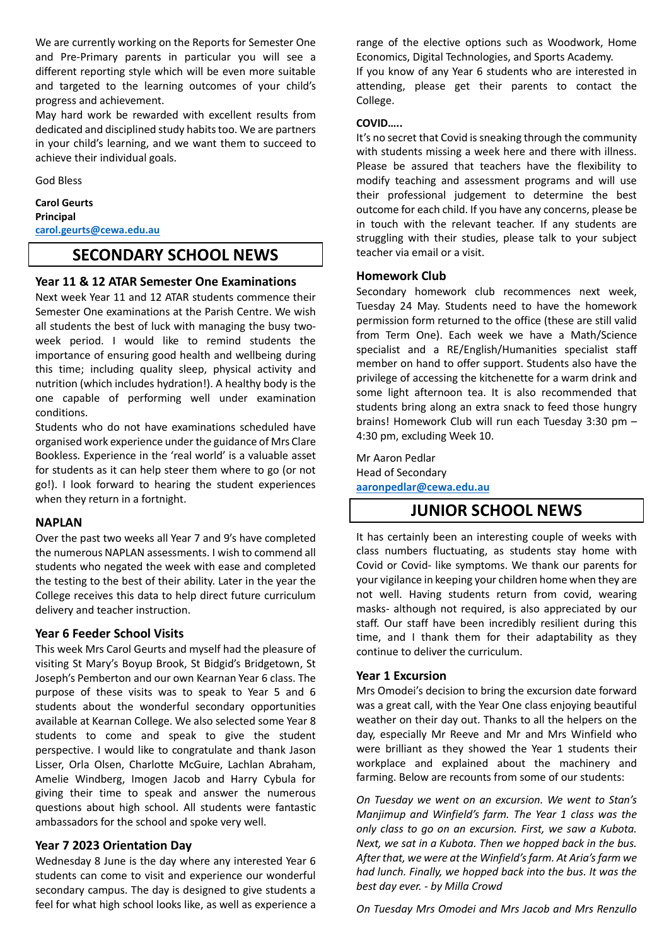We are currently working on the Reports for Semester One and Pre-Primary parents in particular you will see a different reporting style which will be even more suitable and targeted to the learning outcomes of your child's progress and achievement.

May hard work be rewarded with excellent results from dedicated and disciplined study habits too. We are partners in your child's learning, and we want them to succeed to achieve their individual goals.

God Bless

#### **Carol Geurts Principal**

**[carol.geurts@cewa.edu.au](mailto:carol.geurts@cewa.edu.au)**

# **SECONDARY SCHOOL NEWS**

## **Year 11 & 12 ATAR Semester One Examinations**

Next week Year 11 and 12 ATAR students commence their Semester One examinations at the Parish Centre. We wish all students the best of luck with managing the busy twoweek period. I would like to remind students the importance of ensuring good health and wellbeing during this time; including quality sleep, physical activity and nutrition (which includes hydration!). A healthy body is the one capable of performing well under examination conditions.

Students who do not have examinations scheduled have organised work experience under the guidance of Mrs Clare Bookless. Experience in the 'real world' is a valuable asset for students as it can help steer them where to go (or not go!). I look forward to hearing the student experiences when they return in a fortnight.

#### **NAPLAN**

Over the past two weeks all Year 7 and 9's have completed the numerous NAPLAN assessments. I wish to commend all students who negated the week with ease and completed the testing to the best of their ability. Later in the year the College receives this data to help direct future curriculum delivery and teacher instruction.

#### **Year 6 Feeder School Visits**

This week Mrs Carol Geurts and myself had the pleasure of visiting St Mary's Boyup Brook, St Bidgid's Bridgetown, St Joseph's Pemberton and our own Kearnan Year 6 class. The purpose of these visits was to speak to Year 5 and 6 students about the wonderful secondary opportunities available at Kearnan College. We also selected some Year 8 students to come and speak to give the student perspective. I would like to congratulate and thank Jason Lisser, Orla Olsen, Charlotte McGuire, Lachlan Abraham, Amelie Windberg, Imogen Jacob and Harry Cybula for giving their time to speak and answer the numerous questions about high school. All students were fantastic ambassadors for the school and spoke very well.

#### **Year 7 2023 Orientation Day**

Wednesday 8 June is the day where any interested Year 6 students can come to visit and experience our wonderful secondary campus. The day is designed to give students a feel for what high school looks like, as well as experience a range of the elective options such as Woodwork, Home Economics, Digital Technologies, and Sports Academy.

If you know of any Year 6 students who are interested in attending, please get their parents to contact the College.

#### **COVID…..**

It's no secret that Covid is sneaking through the community with students missing a week here and there with illness. Please be assured that teachers have the flexibility to modify teaching and assessment programs and will use their professional judgement to determine the best outcome for each child. If you have any concerns, please be in touch with the relevant teacher. If any students are struggling with their studies, please talk to your subject teacher via email or a visit.

#### **Homework Club**

Secondary homework club recommences next week, Tuesday 24 May. Students need to have the homework permission form returned to the office (these are still valid from Term One). Each week we have a Math/Science specialist and a RE/English/Humanities specialist staff member on hand to offer support. Students also have the privilege of accessing the kitchenette for a warm drink and some light afternoon tea. It is also recommended that students bring along an extra snack to feed those hungry brains! Homework Club will run each Tuesday 3:30 pm – 4:30 pm, excluding Week 10.

Mr Aaron Pedlar Head of Secondary **[aaronpedlar@cewa.edu.au](mailto:aaronpedlar@cewa.edu.au)**

# **JUNIOR SCHOOL NEWS**

It has certainly been an interesting couple of weeks with class numbers fluctuating, as students stay home with Covid or Covid- like symptoms. We thank our parents for your vigilance in keeping your children home when they are not well. Having students return from covid, wearing masks- although not required, is also appreciated by our staff. Our staff have been incredibly resilient during this time, and I thank them for their adaptability as they continue to deliver the curriculum.

#### **Year 1 Excursion**

Mrs Omodei's decision to bring the excursion date forward was a great call, with the Year One class enjoying beautiful weather on their day out. Thanks to all the helpers on the day, especially Mr Reeve and Mr and Mrs Winfield who were brilliant as they showed the Year 1 students their workplace and explained about the machinery and farming. Below are recounts from some of our students:

*On Tuesday we went on an excursion. We went to Stan's Manjimup and Winfield's farm. The Year 1 class was the only class to go on an excursion. First, we saw a Kubota. Next, we sat in a Kubota. Then we hopped back in the bus. After that, we were at the Winfield's farm. At Aria's farm we had lunch. Finally, we hopped back into the bus. It was the best day ever. - by Milla Crowd*

*On Tuesday Mrs Omodei and Mrs Jacob and Mrs Renzullo*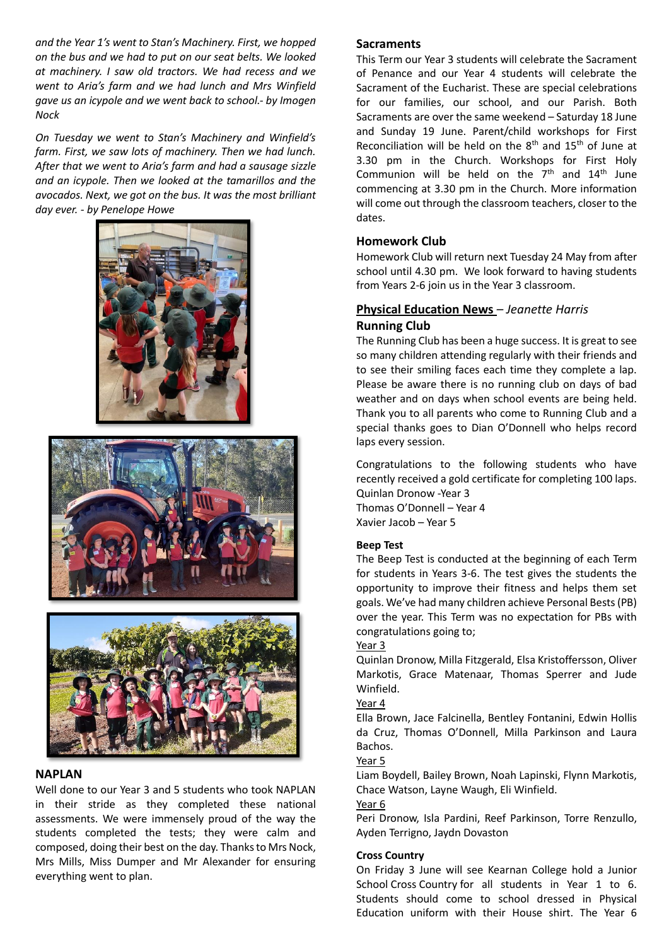*and the Year 1's went to Stan's Machinery. First, we hopped on the bus and we had to put on our seat belts. We looked at machinery. I saw old tractors. We had recess and we went to Aria's farm and we had lunch and Mrs Winfield gave us an icypole and we went back to school.- by Imogen Nock*

*On Tuesday we went to Stan's Machinery and Winfield's farm. First, we saw lots of machinery. Then we had lunch. After that we went to Aria's farm and had a sausage sizzle and an icypole. Then we looked at the tamarillos and the avocados. Next, we got on the bus. It was the most brilliant day ever. - by Penelope Howe*







## **NAPLAN**

Well done to our Year 3 and 5 students who took NAPLAN in their stride as they completed these national assessments. We were immensely proud of the way the students completed the tests; they were calm and composed, doing their best on the day. Thanks to Mrs Nock, Mrs Mills, Miss Dumper and Mr Alexander for ensuring everything went to plan.

#### **Sacraments**

This Term our Year 3 students will celebrate the Sacrament of Penance and our Year 4 students will celebrate the Sacrament of the Eucharist. These are special celebrations for our families, our school, and our Parish. Both Sacraments are over the same weekend – Saturday 18 June and Sunday 19 June. Parent/child workshops for First Reconciliation will be held on the  $8<sup>th</sup>$  and  $15<sup>th</sup>$  of June at 3.30 pm in the Church. Workshops for First Holy Communion will be held on the  $7<sup>th</sup>$  and  $14<sup>th</sup>$  June commencing at 3.30 pm in the Church. More information will come out through the classroom teachers, closer to the dates.

### **Homework Club**

Homework Club will return next Tuesday 24 May from after school until 4.30 pm. We look forward to having students from Years 2-6 join us in the Year 3 classroom.

# **Physical Education News** *– Jeanette Harris* **Running Club**

The Running Club has been a huge success. It is great to see so many children attending regularly with their friends and to see their smiling faces each time they complete a lap. Please be aware there is no running club on days of bad weather and on days when school events are being held. Thank you to all parents who come to Running Club and a special thanks goes to Dian O'Donnell who helps record laps every session.

Congratulations to the following students who have recently received a gold certificate for completing 100 laps. Quinlan Dronow -Year 3 Thomas O'Donnell – Year 4 Xavier Jacob – Year 5

#### **Beep Test**

The Beep Test is conducted at the beginning of each Term for students in Years 3-6. The test gives the students the opportunity to improve their fitness and helps them set goals. We've had many children achieve Personal Bests (PB) over the year. This Term was no expectation for PBs with congratulations going to;

#### Year 3

Quinlan Dronow, Milla Fitzgerald, Elsa Kristoffersson, Oliver Markotis, Grace Matenaar, Thomas Sperrer and Jude Winfield.

#### Year 4

Ella Brown, Jace Falcinella, Bentley Fontanini, Edwin Hollis da Cruz, Thomas O'Donnell, Milla Parkinson and Laura Bachos.

#### Year 5

Liam Boydell, Bailey Brown, Noah Lapinski, Flynn Markotis, Chace Watson, Layne Waugh, Eli Winfield.

#### Year 6

Peri Dronow, Isla Pardini, Reef Parkinson, Torre Renzullo, Ayden Terrigno, Jaydn Dovaston

#### **Cross Country**

On Friday 3 June will see Kearnan College hold a Junior School Cross Country for all students in Year 1 to 6. Students should come to school dressed in Physical Education uniform with their House shirt. The Year 6